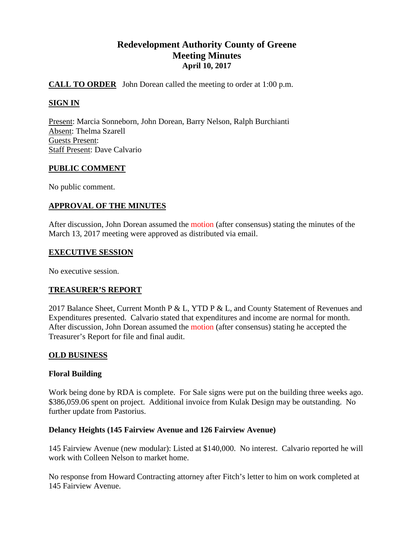# **Redevelopment Authority County of Greene Meeting Minutes April 10, 2017**

## **CALL TO ORDER** John Dorean called the meeting to order at 1:00 p.m.

### **SIGN IN**

Present: Marcia Sonneborn, John Dorean, Barry Nelson, Ralph Burchianti Absent: Thelma Szarell Guests Present: Staff Present: Dave Calvario

#### **PUBLIC COMMENT**

No public comment.

### **APPROVAL OF THE MINUTES**

After discussion, John Dorean assumed the motion (after consensus) stating the minutes of the March 13, 2017 meeting were approved as distributed via email.

#### **EXECUTIVE SESSION**

No executive session.

### **TREASURER'S REPORT**

2017 Balance Sheet, Current Month P & L, YTD P & L, and County Statement of Revenues and Expenditures presented. Calvario stated that expenditures and income are normal for month. After discussion, John Dorean assumed the motion (after consensus) stating he accepted the Treasurer's Report for file and final audit.

### **OLD BUSINESS**

### **Floral Building**

Work being done by RDA is complete. For Sale signs were put on the building three weeks ago. \$386,059.06 spent on project. Additional invoice from Kulak Design may be outstanding. No further update from Pastorius.

### **Delancy Heights (145 Fairview Avenue and 126 Fairview Avenue)**

145 Fairview Avenue (new modular): Listed at \$140,000. No interest. Calvario reported he will work with Colleen Nelson to market home.

No response from Howard Contracting attorney after Fitch's letter to him on work completed at 145 Fairview Avenue.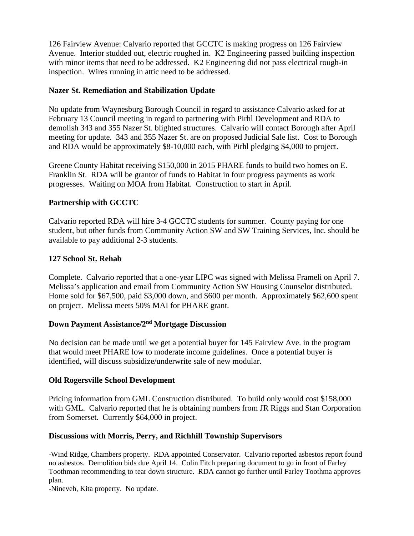126 Fairview Avenue: Calvario reported that GCCTC is making progress on 126 Fairview Avenue. Interior studded out, electric roughed in. K2 Engineering passed building inspection with minor items that need to be addressed. K2 Engineering did not pass electrical rough-in inspection. Wires running in attic need to be addressed.

## **Nazer St. Remediation and Stabilization Update**

No update from Waynesburg Borough Council in regard to assistance Calvario asked for at February 13 Council meeting in regard to partnering with Pirhl Development and RDA to demolish 343 and 355 Nazer St. blighted structures. Calvario will contact Borough after April meeting for update. 343 and 355 Nazer St. are on proposed Judicial Sale list. Cost to Borough and RDA would be approximately \$8-10,000 each, with Pirhl pledging \$4,000 to project.

Greene County Habitat receiving \$150,000 in 2015 PHARE funds to build two homes on E. Franklin St. RDA will be grantor of funds to Habitat in four progress payments as work progresses. Waiting on MOA from Habitat. Construction to start in April.

## **Partnership with GCCTC**

Calvario reported RDA will hire 3-4 GCCTC students for summer. County paying for one student, but other funds from Community Action SW and SW Training Services, Inc. should be available to pay additional 2-3 students.

## **127 School St. Rehab**

Complete. Calvario reported that a one-year LIPC was signed with Melissa Frameli on April 7. Melissa's application and email from Community Action SW Housing Counselor distributed. Home sold for \$67,500, paid \$3,000 down, and \$600 per month. Approximately \$62,600 spent on project. Melissa meets 50% MAI for PHARE grant.

## **Down Payment Assistance/2nd Mortgage Discussion**

No decision can be made until we get a potential buyer for 145 Fairview Ave. in the program that would meet PHARE low to moderate income guidelines. Once a potential buyer is identified, will discuss subsidize/underwrite sale of new modular.

### **Old Rogersville School Development**

Pricing information from GML Construction distributed. To build only would cost \$158,000 with GML. Calvario reported that he is obtaining numbers from JR Riggs and Stan Corporation from Somerset. Currently \$64,000 in project.

## **Discussions with Morris, Perry, and Richhill Township Supervisors**

-Wind Ridge, Chambers property. RDA appointed Conservator. Calvario reported asbestos report found no asbestos. Demolition bids due April 14. Colin Fitch preparing document to go in front of Farley Toothman recommending to tear down structure. RDA cannot go further until Farley Toothma approves plan.

-Nineveh, Kita property. No update.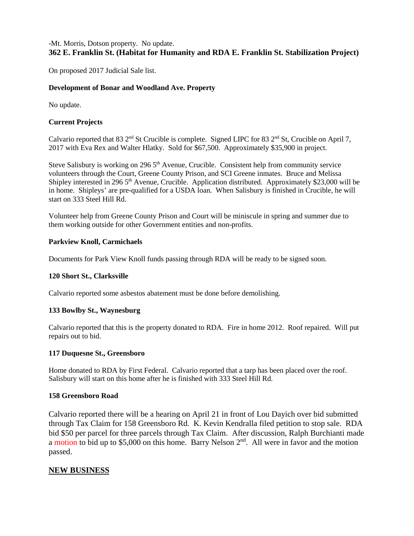## -Mt. Morris, Dotson property. No update. **362 E. Franklin St. (Habitat for Humanity and RDA E. Franklin St. Stabilization Project)**

On proposed 2017 Judicial Sale list.

#### **Development of Bonar and Woodland Ave. Property**

No update.

#### **Current Projects**

Calvario reported that 83 2<sup>nd</sup> St Crucible is complete. Signed LIPC for 83 2<sup>nd</sup> St, Crucible on April 7, 2017 with Eva Rex and Walter Hlatky. Sold for \$67,500. Approximately \$35,900 in project.

Steve Salisbury is working on 296 5<sup>th</sup> Avenue, Crucible. Consistent help from community service volunteers through the Court, Greene County Prison, and SCI Greene inmates. Bruce and Melissa Shipley interested in 296  $5<sup>th</sup>$  Avenue, Crucible. Application distributed. Approximately \$23,000 will be in home. Shipleys' are pre-qualified for a USDA loan. When Salisbury is finished in Crucible, he will start on 333 Steel Hill Rd.

Volunteer help from Greene County Prison and Court will be miniscule in spring and summer due to them working outside for other Government entities and non-profits.

#### **Parkview Knoll, Carmichaels**

Documents for Park View Knoll funds passing through RDA will be ready to be signed soon.

#### **120 Short St., Clarksville**

Calvario reported some asbestos abatement must be done before demolishing.

#### **133 Bowlby St., Waynesburg**

Calvario reported that this is the property donated to RDA. Fire in home 2012. Roof repaired. Will put repairs out to bid.

#### **117 Duquesne St., Greensboro**

Home donated to RDA by First Federal. Calvario reported that a tarp has been placed over the roof. Salisbury will start on this home after he is finished with 333 Steel Hill Rd.

#### **158 Greensboro Road**

Calvario reported there will be a hearing on April 21 in front of Lou Dayich over bid submitted through Tax Claim for 158 Greensboro Rd. K. Kevin Kendralla filed petition to stop sale. RDA bid \$50 per parcel for three parcels through Tax Claim. After discussion, Ralph Burchianti made a motion to bid up to \$5,000 on this home. Barry Nelson 2<sup>nd</sup>. All were in favor and the motion passed.

### **NEW BUSINESS**